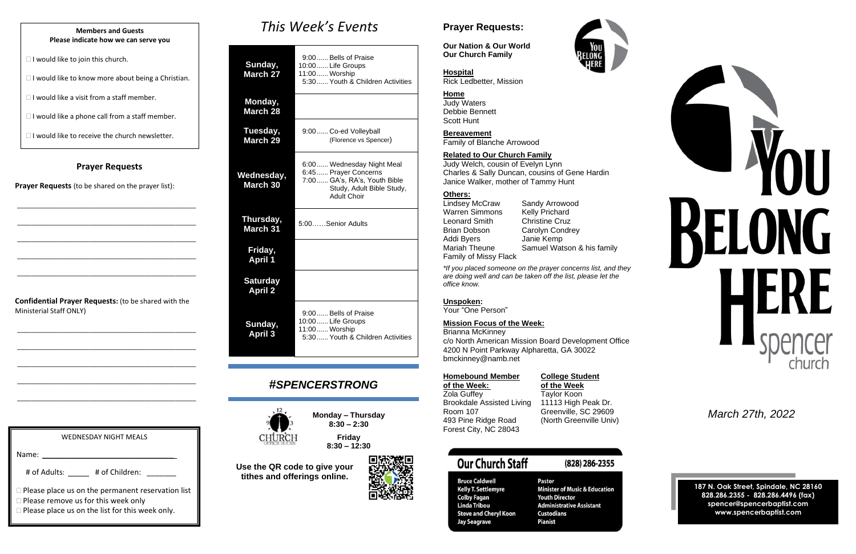#### **Prayer Requests**

**Prayer Requests** (to be shared on the prayer list):

\_\_\_\_\_\_\_\_\_\_\_\_\_\_\_\_\_\_\_\_\_\_\_\_\_\_\_\_\_\_\_\_\_\_\_\_\_\_\_\_\_\_\_\_\_\_\_\_\_\_\_\_

\_\_\_\_\_\_\_\_\_\_\_\_\_\_\_\_\_\_\_\_\_\_\_\_\_\_\_\_\_\_\_\_\_\_\_\_\_\_\_\_\_\_\_\_\_\_\_\_\_\_\_\_

\_\_\_\_\_\_\_\_\_\_\_\_\_\_\_\_\_\_\_\_\_\_\_\_\_\_\_\_\_\_\_\_\_\_\_\_\_\_\_\_\_\_\_\_\_\_\_\_\_\_\_\_

| <b>WEDNESDAY NIGHT MEALS</b> |  |
|------------------------------|--|
|                              |  |
|                              |  |
| Name:                        |  |
|                              |  |
|                              |  |

# of Adults: \_\_\_\_\_\_ # of Children: \_\_\_\_\_\_\_

 $\Box$  Please place us on the permanent reservation list

 $\Box$  Please remove us for this week only

**Please place us on the list for this week only.** 

\_\_\_\_\_\_\_\_\_\_\_\_\_\_\_\_\_\_\_\_\_\_\_\_\_\_\_\_\_\_\_\_\_\_\_\_\_\_\_\_\_\_\_\_\_\_\_\_\_\_\_\_

\_\_\_\_\_\_\_\_\_\_\_\_\_\_\_\_\_\_\_\_\_\_\_\_\_\_\_\_\_\_\_\_\_\_\_\_\_\_\_\_\_\_\_\_\_\_\_\_\_\_\_\_

**Confidential Prayer Requests:** (to be shared with the Ministerial Staff ONLY)

\_\_\_\_\_\_\_\_\_\_\_\_\_\_\_\_\_\_\_\_\_\_\_\_\_\_\_\_\_\_\_\_\_\_\_\_\_\_\_\_\_\_\_\_\_\_\_\_\_\_\_\_

## *This Week's Events*

Lindsey McCraw Sandy Arrowood<br>Warren Simmons Kelly Prichard Warren Simmons Leonard Smith Christine Cruz Brian Dobson Carolyn Condrey Addi Byers Janie Kemp Family of Missy Flack

| Sunday,<br><b>March 27</b>        | 9:00 Bells of Praise<br>10:00 Life Groups<br>11:00  Worship<br>5:30 Youth & Children Activities                                      |  |  |
|-----------------------------------|--------------------------------------------------------------------------------------------------------------------------------------|--|--|
| Monday,<br><b>March 28</b>        |                                                                                                                                      |  |  |
| Tuesday,<br>March 29              | 9:00 Co-ed Volleyball<br>(Florence vs Spencer)                                                                                       |  |  |
| Wednesday,<br><b>March 30</b>     | 6:00 Wednesday Night Meal<br>6:45 Prayer Concerns<br>7:00 GA's, RA's, Youth Bible<br>Study, Adult Bible Study,<br><b>Adult Choir</b> |  |  |
| Thursday,<br><b>March 31</b>      | 5:00Senior Adults                                                                                                                    |  |  |
| Friday,<br><b>April 1</b>         |                                                                                                                                      |  |  |
| <b>Saturday</b><br><b>April 2</b> |                                                                                                                                      |  |  |
| Sunday,<br><b>April 3</b>         | 9:00 Bells of Praise<br>10:00 Life Groups<br>11:00 Worship<br>5:30 Youth & Children Activities                                       |  |  |

#### **College Student of the Week: of the Week**

Taylor Koon 11113 High Peak Dr. Greenville, SC 29609 (North Greenville Univ)

## **Our Church Staff**

#### **Bruce Caldwell Kelly T. Settlemyre Colby Fagan Linda Tribou Steve and Cheryl Koon Jay Seagrave**

## (828) 286-2355

Pastor **Minister of Music & Education Youth Director Administrative Assistant Custodians Pianist** 



## *#SPENCERSTRONG*



**Monday – Thursday 8:30 – 2:30**

> **Friday 8:30 – 12:30**

**Use the QR code to give your tithes and offerings online.**



## **Prayer Requests:**

**Our Nation & Our World Our Church Family**

#### **Hospital**

Rick Ledbetter, Mission

#### **Home**

Judy Waters Debbie Bennett Scott Hunt

**Bereavement**

Family of Blanche Arrowood

#### **Related to Our Church Family**

Judy Welch, cousin of Evelyn Lynn Charles & Sally Duncan, cousins of Gene Hardin Janice Walker, mother of Tammy Hunt

#### **Others:**

Mariah Theune Samuel Watson & his family

*\*If you placed someone on the prayer concerns list, and they are doing well and can be taken off the list, please let the office know.*

#### **Unspoken:**

Your "One Person"

#### **Mission Focus of the Week:**

Brianna McKinney c/o North American Mission Board Development Office 4200 N Point Parkway Alpharetta, GA 30022 bmckinney@namb.net

| <b>Homebound Member</b>          |
|----------------------------------|
| of the Week:                     |
| <b>Zola Guffey</b>               |
| <b>Brookdale Assisted Living</b> |
| Room 107                         |
| 493 Pine Ridge Road              |
| Forest City, NC 28043            |

*March 27th, 2022*

**187 N. Oak Street, Spindale, NC 28160 828.286.2355 - 828.286.4496 (fax) spencer@spencerbaptist.com www.spencerbaptist.com**

#### **Members and Guests Please indicate how we can serve you**

 $\Box$  I would like to join this church.

 $\Box$  I would like to know more about being a Christian.

 $\Box$  I would like a visit from a staff member.

 $\Box$  I would like a phone call from a staff member.

 $\Box$  I would like to receive the church newsletter.